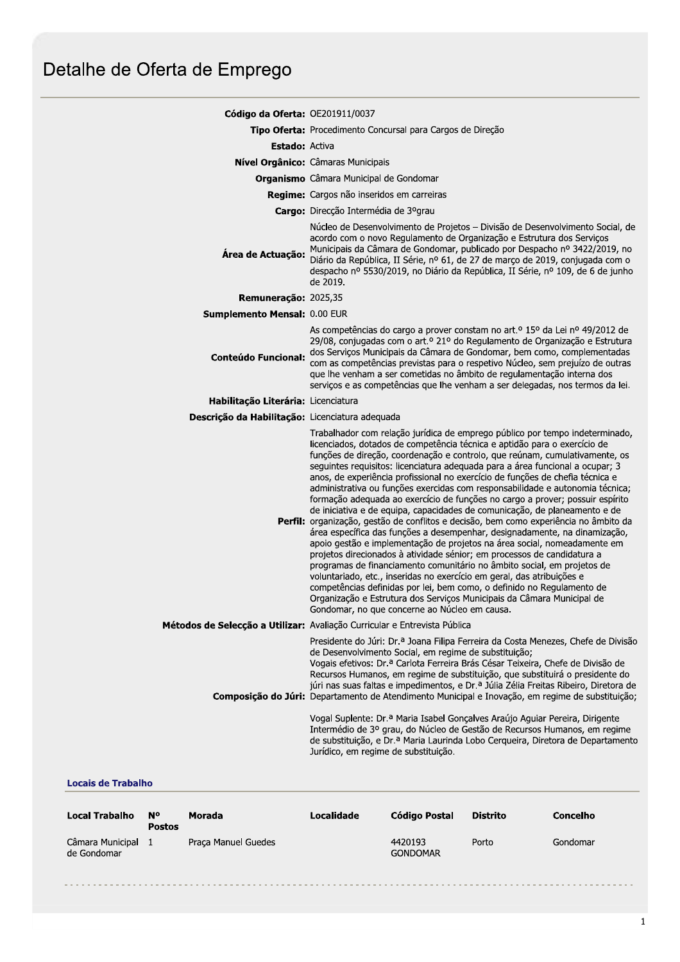| Código da Oferta: OE201911/0037                 |                                                                                                                                                                                                                                                                                                                                                                                                                                                                                                                                                                                                                                                                                                                                                                                                                                                                                                                                                                                                                                                                                                                                                                                                                                                                                                                                                    |  |  |  |
|-------------------------------------------------|----------------------------------------------------------------------------------------------------------------------------------------------------------------------------------------------------------------------------------------------------------------------------------------------------------------------------------------------------------------------------------------------------------------------------------------------------------------------------------------------------------------------------------------------------------------------------------------------------------------------------------------------------------------------------------------------------------------------------------------------------------------------------------------------------------------------------------------------------------------------------------------------------------------------------------------------------------------------------------------------------------------------------------------------------------------------------------------------------------------------------------------------------------------------------------------------------------------------------------------------------------------------------------------------------------------------------------------------------|--|--|--|
|                                                 | Tipo Oferta: Procedimento Concursal para Cargos de Direção                                                                                                                                                                                                                                                                                                                                                                                                                                                                                                                                                                                                                                                                                                                                                                                                                                                                                                                                                                                                                                                                                                                                                                                                                                                                                         |  |  |  |
| <b>Estado:</b> Activa                           |                                                                                                                                                                                                                                                                                                                                                                                                                                                                                                                                                                                                                                                                                                                                                                                                                                                                                                                                                                                                                                                                                                                                                                                                                                                                                                                                                    |  |  |  |
|                                                 | Nível Orgânico: Câmaras Municipais                                                                                                                                                                                                                                                                                                                                                                                                                                                                                                                                                                                                                                                                                                                                                                                                                                                                                                                                                                                                                                                                                                                                                                                                                                                                                                                 |  |  |  |
|                                                 | <b>Organismo</b> Câmara Municipal de Gondomar                                                                                                                                                                                                                                                                                                                                                                                                                                                                                                                                                                                                                                                                                                                                                                                                                                                                                                                                                                                                                                                                                                                                                                                                                                                                                                      |  |  |  |
|                                                 | Regime: Cargos não inseridos em carreiras                                                                                                                                                                                                                                                                                                                                                                                                                                                                                                                                                                                                                                                                                                                                                                                                                                                                                                                                                                                                                                                                                                                                                                                                                                                                                                          |  |  |  |
|                                                 | Cargo: Direcção Intermédia de 3ºgrau                                                                                                                                                                                                                                                                                                                                                                                                                                                                                                                                                                                                                                                                                                                                                                                                                                                                                                                                                                                                                                                                                                                                                                                                                                                                                                               |  |  |  |
| Área de Actuação:                               | Núcleo de Desenvolvimento de Projetos - Divisão de Desenvolvimento Social, de<br>acordo com o novo Regulamento de Organização e Estrutura dos Serviços<br>Municipais da Câmara de Gondomar, publicado por Despacho nº 3422/2019, no<br>Diário da República, II Série, nº 61, de 27 de março de 2019, conjugada com o<br>despacho nº 5530/2019, no Diário da República, II Série, nº 109, de 6 de junho<br>de 2019.                                                                                                                                                                                                                                                                                                                                                                                                                                                                                                                                                                                                                                                                                                                                                                                                                                                                                                                                 |  |  |  |
| Remuneração: 2025,35                            |                                                                                                                                                                                                                                                                                                                                                                                                                                                                                                                                                                                                                                                                                                                                                                                                                                                                                                                                                                                                                                                                                                                                                                                                                                                                                                                                                    |  |  |  |
| <b>Sumplemento Mensal: 0.00 EUR</b>             |                                                                                                                                                                                                                                                                                                                                                                                                                                                                                                                                                                                                                                                                                                                                                                                                                                                                                                                                                                                                                                                                                                                                                                                                                                                                                                                                                    |  |  |  |
| <b>Conteúdo Funcional:</b>                      | As competências do cargo a prover constam no art. <sup>o</sup> 15º da Lei nº 49/2012 de<br>29/08, conjugadas com o art.º 21º do Regulamento de Organização e Estrutura<br>dos Serviços Municipais da Câmara de Gondomar, bem como, complementadas<br>com as competências previstas para o respetivo Núcleo, sem prejuízo de outras<br>que lhe venham a ser cometidas no âmbito de regulamentação interna dos<br>serviços e as competências que lhe venham a ser delegadas, nos termos da lei.                                                                                                                                                                                                                                                                                                                                                                                                                                                                                                                                                                                                                                                                                                                                                                                                                                                      |  |  |  |
| Habilitação Literária: Licenciatura             |                                                                                                                                                                                                                                                                                                                                                                                                                                                                                                                                                                                                                                                                                                                                                                                                                                                                                                                                                                                                                                                                                                                                                                                                                                                                                                                                                    |  |  |  |
| Descrição da Habilitação: Licenciatura adequada |                                                                                                                                                                                                                                                                                                                                                                                                                                                                                                                                                                                                                                                                                                                                                                                                                                                                                                                                                                                                                                                                                                                                                                                                                                                                                                                                                    |  |  |  |
|                                                 | Trabalhador com relação jurídica de emprego público por tempo indeterminado,<br>licenciados, dotados de competência técnica e aptidão para o exercício de<br>funções de direção, coordenação e controlo, que reúnam, cumulativamente, os<br>seguintes requisitos: licenciatura adequada para a área funcional a ocupar; 3<br>anos, de experiência profissional no exercício de funções de chefia técnica e<br>administrativa ou funções exercidas com responsabilidade e autonomia técnica;<br>formação adequada ao exercício de funções no cargo a prover; possuir espírito<br>de iniciativa e de equipa, capacidades de comunicação, de planeamento e de<br>Perfil: organização, gestão de conflitos e decisão, bem como experiência no âmbito da<br>área específica das funções a desempenhar, designadamente, na dinamização,<br>apoio gestão e implementação de projetos na área social, nomeadamente em<br>projetos direcionados à atividade sénior; em processos de candidatura a<br>programas de financiamento comunitário no âmbito social, em projetos de<br>voluntariado, etc., inseridas no exercício em geral, das atribuições e<br>competências definidas por lei, bem como, o definido no Regulamento de<br>Organização e Estrutura dos Serviços Municipais da Câmara Municipal de<br>Gondomar, no que concerne ao Núcleo em causa. |  |  |  |
|                                                 | Métodos de Selecção a Utilizar: Avaliação Curricular e Entrevista Pública                                                                                                                                                                                                                                                                                                                                                                                                                                                                                                                                                                                                                                                                                                                                                                                                                                                                                                                                                                                                                                                                                                                                                                                                                                                                          |  |  |  |
|                                                 | Presidente do Júri: Dr.ª Joana Filipa Ferreira da Costa Menezes, Chefe de Divisão<br>de Desenvolvimento Social, em regime de substituição;<br>Vogais efetivos: Dr.ª Carlota Ferreira Brás César Teixeira, Chefe de Divisão de<br>Recursos Humanos, em regime de substituição, que substituirá o presidente do<br>júri nas suas faltas e impedimentos, e Dr.ª Júlia Zélia Freitas Ribeiro, Diretora de<br>Composição do Júri: Departamento de Atendimento Municipal e Inovação, em regime de substituição;<br>Vogal Suplente: Dr. <sup>a</sup> Maria Isabel Gonçalves Araújo Aguiar Pereira, Dirigente<br>Intermédio de 3º grau, do Núcleo de Gestão de Recursos Humanos, em regime<br>de substituição, e Dr.ª Maria Laurinda Lobo Cerqueira, Diretora de Departamento<br>Jurídico, em regime de substituição.                                                                                                                                                                                                                                                                                                                                                                                                                                                                                                                                      |  |  |  |

## **Locais de Trabalho**

| Local Trabalho                  | N°<br><b>Postos</b> | Morada              | Localidade | Código Postal              | <b>Distrito</b> | Concelho |
|---------------------------------|---------------------|---------------------|------------|----------------------------|-----------------|----------|
| Câmara Municipal<br>de Gondomar |                     | Praça Manuel Guedes |            | 4420193<br><b>GONDOMAR</b> | Porto           | Gondomar |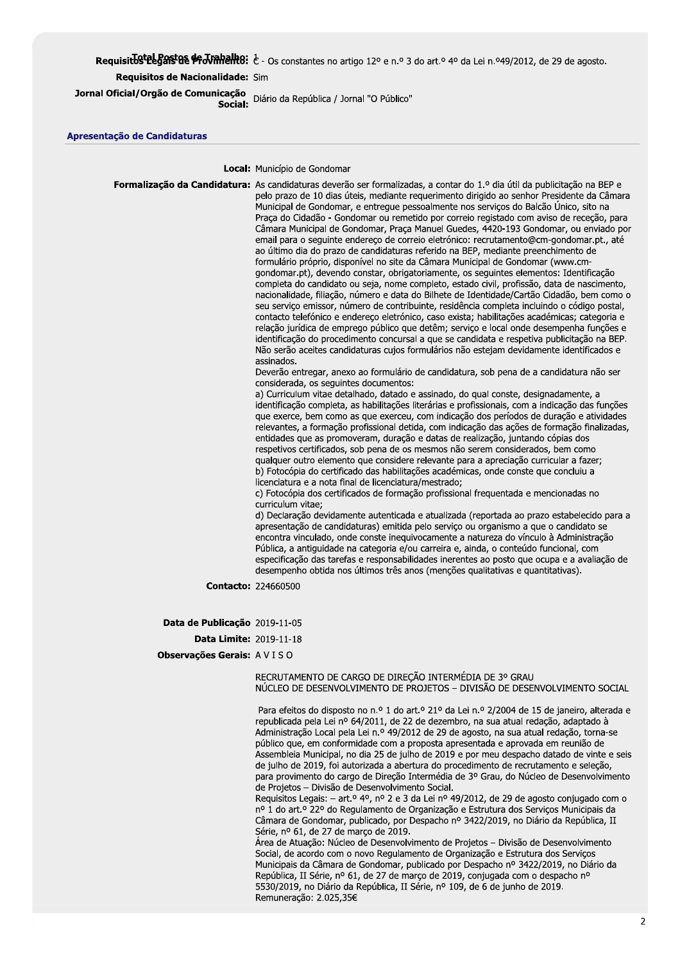## Requisit by telegast as  $\#$  J valid if  $\epsilon$  - Os constantes no artigo 12° e n.º 3 do art.º 4° da Lei n.º49/2012, de 29 de agosto.

## Requisitos de Nacionalidade: Sim

Jornal Oficial/Orgão de Comunicação<br>
Casial, Diário da República / Jornal "O Público"

Apresentação de Candidaturas

Local: Município de Gondomar

Formalização da Candidatura: As candidaturas deverão ser formalizadas, a contar do 1.º dia útil da publicitação na BEP e pelo prazo de 10 dias úteis, mediante requerimento dirigido ao senhor Presidente da Câmara Municipal de Gondomar, e entregue pessoalmente nos serviços do Balcão Único, sito na Praça do Cidadão - Gondomar ou remetido por correio registado com aviso de receção, para Câmara Municipal de Gondomar, Praça Manuel Guedes, 4420-193 Gondomar, ou enviado por email para o seguinte endereço de correio eletrónico: recrutamento@cm-gondomar.pt., até ao último dia do prazo de candidaturas referido na BEP, mediante preenchimento de formulário próprio, disponível no site da Câmara Municipal de Gondomar (www.cmgondomar.pt), devendo constar, obrigatoriamente, os seguintes elementos: Identificação completa do candidato ou seja, nome completo, estado civil, profissão, data de nascimento, nacionalidade, filiação, número e data do Bilhete de Identidade/Cartão Cidadão, bem como o seu serviço emissor, número de contribuinte, residência completa incluindo o código postal, contacto telefónico e endereço eletrónico, caso exista; habilitações académicas; categoria e relação jurídica de emprego público que detêm; serviço e local onde desempenha funções e identificação do procedimento concursal a que se candidata e respetiva publicitação na BEP. Não serão aceites candidaturas cujos formulários não estejam devidamente identificados e assinados Deverão entregar, anexo ao formulário de candidatura, sob pena de a candidatura não ser considerada, os seguintes documentos: a) Curriculum vitae detalhado, datado e assinado, do qual conste, designadamente, a identificação completa, as habilitações literárias e profissionais, com a indicação das funções que exerce, bem como as que exerceu, com indicação dos períodos de duração e atividades relevantes, a formação profissional detida, com indicação das ações de formação finalizadas,

entidades que as promoveram, duração e datas de realização, juntando cópias dos respetivos certificados, sob pena de os mesmos não serem considerados, bem como qualquer outro elemento que considere relevante para a apreciação curricular a fazer; b) Fotocópia do certificado das habilitações académicas, onde conste que concluiu a licenciatura e a nota final de licenciatura/mestrado;

c) Fotocópia dos certificados de formação profissional frequentada e mencionadas no curriculum vitae:

d) Declaração devidamente autenticada e atualizada (reportada ao prazo estabelecido para a apresentação de candidaturas) emitida pelo servico ou organismo a que o candidato se encontra vinculado, onde conste inequivocamente a natureza do vínculo à Administração Pública, a antiguidade na categoria e/ou carreira e, ainda, o conteúdo funcional, com especificação das tarefas e responsabilidades inerentes ao posto que ocupa e a avaliação de desempenho obtida nos últimos três anos (menções qualitativas e quantitativas).

**Contacto: 224660500** 

Data de Publicação 2019-11-05

**Data Limite: 2019-11-18** 

Observações Gerais: AVISO

## RECRUTAMENTO DE CARGO DE DIRECÃO INTERMÉDIA DE 3º GRAU NÚCLEO DE DESENVOLVIMENTO DE PROJETOS - DIVISÃO DE DESENVOLVIMENTO SOCIAL

Para efeitos do disposto no n.º 1 do art.º 21º da Lei n.º 2/2004 de 15 de janeiro, alterada e republicada pela Lei nº 64/2011, de 22 de dezembro, na sua atual redação, adaptado à Administração Local pela Lei n.º 49/2012 de 29 de agosto, na sua atual redação, torna-se público que, em conformidade com a proposta apresentada e aprovada em reunião de Assembleia Municipal, no dia 25 de julho de 2019 e por meu despacho datado de vinte e seis de julho de 2019, foi autorizada a abertura do procedimento de recrutamento e seleção, para provimento do cargo de Direção Intermédia de 3º Grau, do Núcleo de Desenvolvimento de Projetos - Divisão de Desenvolvimento Social.

Requisitos Legais: - art.º 4º, nº 2 e 3 da Lei nº 49/2012, de 29 de agosto conjugado com o nº 1 do art.º 22º do Regulamento de Organização e Estrutura dos Serviços Municipais da Câmara de Gondomar, publicado, por Despacho nº 3422/2019, no Diário da República, II Série, nº 61, de 27 de março de 2019.

Área de Atuação: Núcleo de Desenvolvimento de Projetos - Divisão de Desenvolvimento Social, de acordo com o novo Regulamento de Organização e Estrutura dos Servicos Municipais da Câmara de Gondomar, publicado por Despacho nº 3422/2019, no Diário da República, II Série, nº 61, de 27 de março de 2019, conjugada com o despacho nº 5530/2019, no Diário da República, II Série, nº 109, de 6 de junho de 2019. Remuneração: 2.025,35€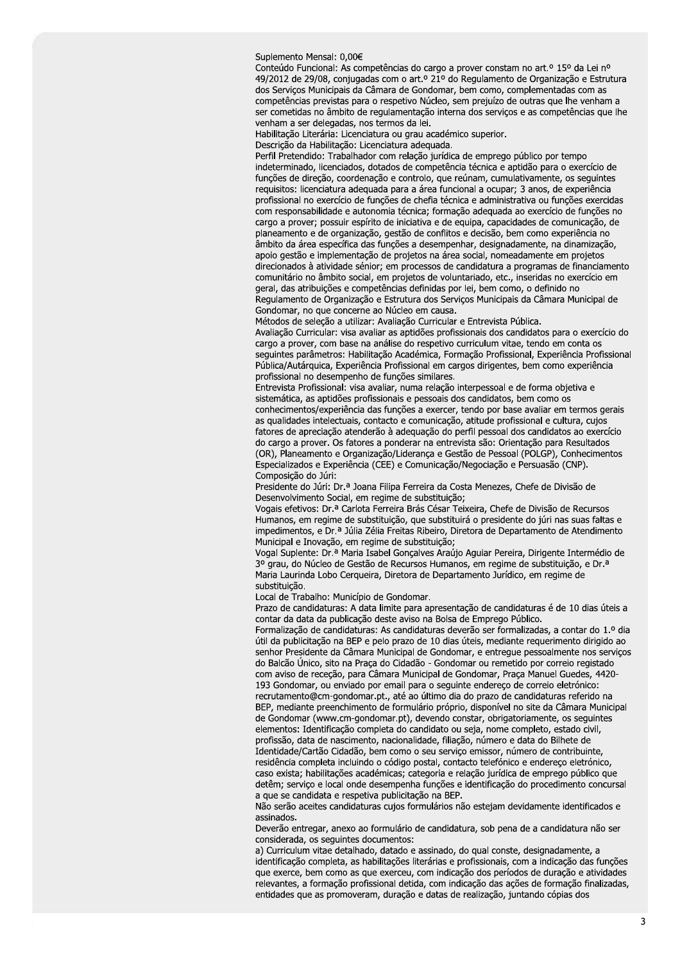Suplemento Mensal: 0,00€

Conteúdo Funcional: As competências do cargo a prover constam no art.º 15º da Lei nº 49/2012 de 29/08, conjugadas com o art.º 21º do Regulamento de Organização e Estrutura dos Serviços Municipais da Câmara de Gondomar, bem como, complementadas com as competências previstas para o respetivo Núcleo, sem prejuízo de outras que lhe venham a ser cometidas no âmbito de regulamentação interna dos serviços e as competências que lhe venham a ser delegadas, nos termos da lei.

Habilitação Literária: Licenciatura ou grau académico superior.

Descrição da Habilitação: Licenciatura adequada.

Perfil Pretendido: Trabalhador com relação jurídica de emprego público por tempo indeterminado, licenciados, dotados de competência técnica e aptidão para o exercício de funções de direção, coordenação e controlo, que reúnam, cumulativamente, os seguintes requisitos: licenciatura adequada para a área funcional a ocupar; 3 anos, de experiência profissional no exercício de funções de chefia técnica e administrativa ou funções exercidas com responsabilidade e autonomia técnica; formação adequada ao exercício de funções no cargo a prover; possuir espírito de iniciativa e de equipa, capacidades de comunicação, de planeamento e de organização, gestão de conflitos e decisão, bem como experiência no âmbito da área específica das funções a desempenhar, designadamente, na dinamização, apoio gestão e implementação de projetos na área social, nomeadamente em projetos direcionados à atividade sénior; em processos de candidatura a programas de financiamento comunitário no âmbito social, em projetos de voluntariado, etc., inseridas no exercício em geral, das atribuições e competências definidas por lei, bem como, o definido no Regulamento de Organização e Estrutura dos Servicos Municipais da Câmara Municipal de Gondomar, no que concerne ao Núcleo em causa.

Métodos de seleção a utilizar: Avaliação Curricular e Entrevista Pública.

Avaliação Curricular: visa avaliar as aptidões profissionais dos candidatos para o exercício do cargo a prover, com base na análise do respetivo curriculum vitae, tendo em conta os seguintes parâmetros: Habilitação Académica, Formação Profissional, Experiência Profissional Pública/Autárquica, Experiência Profissional em cargos dirigentes, bem como experiência profissional no desempenho de funções similares.

Entrevista Profissional: visa avaliar, numa relação interpessoal e de forma objetiva e sistemática, as aptidões profissionais e pessoais dos candidatos, bem como os conhecimentos/experiência das funções a exercer, tendo por base avaliar em termos gerais as qualidades intelectuais, contacto e comunicação, atitude profissional e cultura, cujos fatores de apreciação atenderão à adequação do perfil pessoal dos candidatos ao exercício do cargo a prover. Os fatores a ponderar na entrevista são: Orientação para Resultados (OR), Planeamento e Organização/Liderança e Gestão de Pessoal (POLGP), Conhecimentos Especializados e Experiência (CEE) e Comunicação/Negociação e Persuasão (CNP). Composição do Júri:

Presidente do Júri: Dr.ª Joana Filipa Ferreira da Costa Menezes, Chefe de Divisão de Desenvolvimento Social, em regime de substituição;

Vogais efetivos: Dr.ª Carlota Ferreira Brás César Teixeira, Chefe de Divisão de Recursos Humanos, em regime de substituição, que substituirá o presidente do júri nas suas faltas e impedimentos, e Dr.ª Júlia Zélia Freitas Ribeiro, Diretora de Departamento de Atendimento Municipal e Inovação, em regime de substituição;

Vogal Suplente: Dr.ª Maria Isabel Gonçalves Araújo Aguiar Pereira, Dirigente Intermédio de 3º grau, do Núcleo de Gestão de Recursos Humanos, em regime de substituição, e Dr.<sup>a</sup> Maria Laurinda Lobo Cerqueira, Diretora de Departamento Jurídico, em regime de substituição.

Local de Trabalho: Município de Gondomar.

Prazo de candidaturas: A data limite para apresentação de candidaturas é de 10 dias úteis a contar da data da publicação deste aviso na Bolsa de Emprego Público.

Formalização de candidaturas: As candidaturas deverão ser formalizadas, a contar do 1.º dia útil da publicitação na BEP e pelo prazo de 10 dias úteis, mediante requerimento dirigido ao senhor Presidente da Câmara Municipal de Gondomar, e entregue pessoalmente nos serviços do Balcão Único, sito na Praça do Cidadão - Gondomar ou remetido por correio registado com aviso de receção, para Câmara Municipal de Gondomar, Praça Manuel Guedes, 4420-193 Gondomar, ou enviado por email para o seguinte endereço de correio eletrónico: recrutamento@cm-gondomar.pt., até ao último dia do prazo de candidaturas referido na BEP, mediante preenchimento de formulário próprio, disponível no site da Câmara Municipal de Gondomar (www.cm-gondomar.pt), devendo constar, obrigatoriamente, os seguintes elementos: Identificação completa do candidato ou seja, nome completo, estado civil, profissão, data de nascimento, nacionalidade, filiação, número e data do Bilhete de Identidade/Cartão Cidadão, bem como o seu serviço emissor, número de contribuinte, residência completa incluindo o código postal, contacto telefónico e endereço eletrónico, caso exista: habilitações académicas: categoria e relação jurídica de emprego público que detêm; serviço e local onde desempenha funções e identificação do procedimento concursal a que se candidata e respetiva publicitação na BEP.

Não serão aceites candidaturas cujos formulários não estejam devidamente identificados e assinados.

Deverão entregar, anexo ao formulário de candidatura, sob pena de a candidatura não ser considerada, os sequintes documentos:

a) Curriculum vitae detalhado, datado e assinado, do qual conste, designadamente, a identificação completa, as habilitações literárias e profissionais, com a indicação das funções que exerce, bem como as que exerceu, com indicação dos períodos de duração e atividades relevantes, a formação profissional detida, com indicação das ações de formação finalizadas, entidades que as promoveram, duração e datas de realização, juntando cópias dos